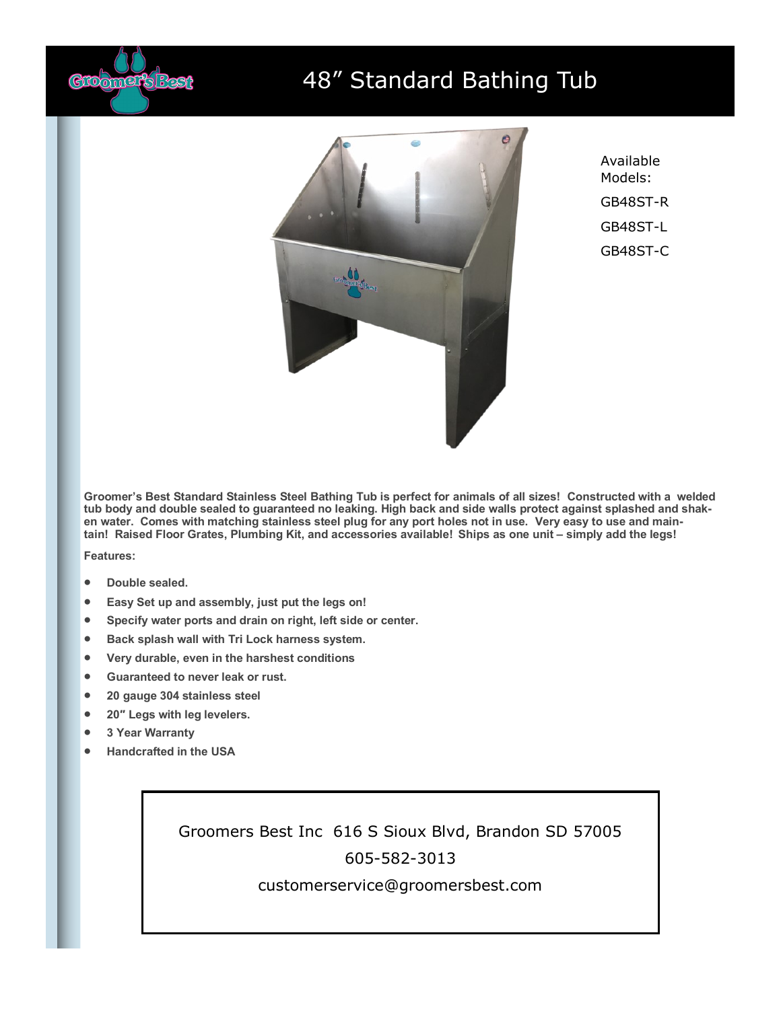

## 48" Standard Bathing Tub



Available Models: GB48ST-R GB48ST-L GB48ST-C

**Groomer's Best Standard Stainless Steel Bathing Tub is perfect for animals of all sizes! Constructed with a welded tub body and double sealed to guaranteed no leaking. High back and side walls protect against splashed and shaken water. Comes with matching stainless steel plug for any port holes not in use. Very easy to use and maintain! Raised Floor Grates, Plumbing Kit, and accessories available! Ships as one unit – simply add the legs!**

**Features:**

- **Double sealed.**
- **Easy Set up and assembly, just put the legs on!**
- **Specify water ports and drain on right, left side or center.**
- **Back splash wall with Tri Lock harness system.**
- **Very durable, even in the harshest conditions**
- **Guaranteed to never leak or rust.**
- **20 gauge 304 stainless steel**
- **20″ Legs with leg levelers.**
- **3 Year Warranty**
- **Handcrafted in the USA**

Groomers Best Inc 616 S Sioux Blvd, Brandon SD 57005 605-582-3013

customerservice@groomersbest.com